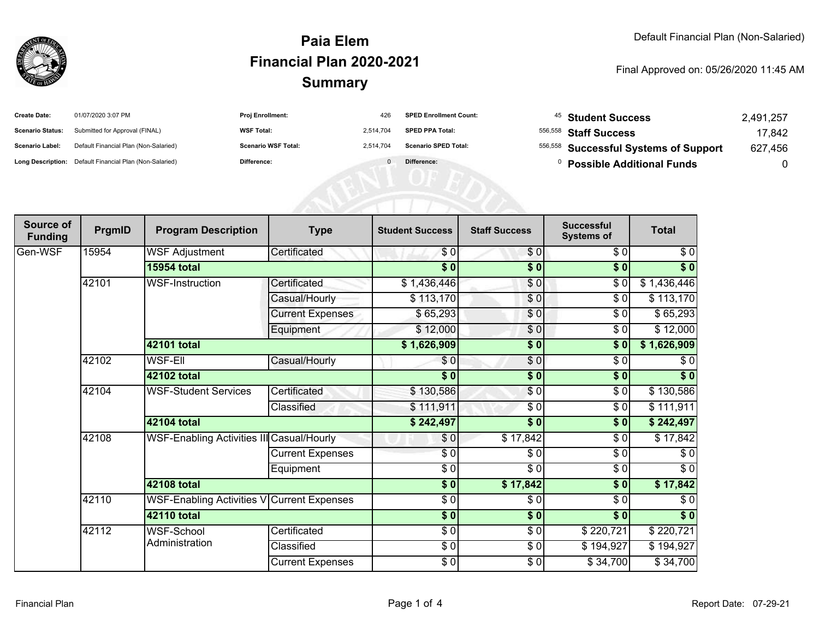

## **SummaryPaia ElemFinancial Plan 2020-2021**

Final Approved on: 05/26/2020 11:45 AM

| <b>Create Date:</b>     | 01/07/2020 3:07 PM                                      | <b>Proj Enrollment:</b>    | 426       | <b>SPED Enrollment Count:</b> | <sup>45</sup> Student Success         | 2.491.257 |
|-------------------------|---------------------------------------------------------|----------------------------|-----------|-------------------------------|---------------------------------------|-----------|
| <b>Scenario Status:</b> | Submitted for Approval (FINAL)                          | <b>WSF Total:</b>          | 2.514.704 | <b>SPED PPA Total:</b>        | 556,558 Staff Success                 | 17.842    |
| <b>Scenario Label:</b>  | Default Financial Plan (Non-Salaried)                   | <b>Scenario WSF Total:</b> | 2.514.704 | <b>Scenario SPED Total:</b>   | 556,558 Successful Systems of Support | 627,456   |
|                         | Long Description: Default Financial Plan (Non-Salaried) | Difference:                |           | Difference:                   | <b>Possible Additional Funds</b>      |           |

| Source of<br><b>Funding</b> | PrgmID | <b>Program Description</b>                 | <b>Type</b>             | <b>Student Success</b>   | <b>Staff Success</b> | <b>Successful</b><br><b>Systems of</b> | <b>Total</b> |
|-----------------------------|--------|--------------------------------------------|-------------------------|--------------------------|----------------------|----------------------------------------|--------------|
| Gen-WSF                     | 15954  | <b>WSF Adjustment</b>                      | Certificated            | \$0                      | \$0                  | \$0                                    | \$0          |
|                             |        | <b>15954 total</b>                         |                         | \$0                      | \$0                  | \$0                                    | $\sqrt[6]{}$ |
|                             | 42101  | <b>WSF-Instruction</b>                     | Certificated            | \$1,436,446              | \$0                  | \$0                                    | \$1,436,446  |
|                             |        |                                            | Casual/Hourly           | \$113,170                | \$0                  | $\sqrt{6}$                             | \$113,170    |
|                             |        |                                            | <b>Current Expenses</b> | \$65,293                 | \$0                  | $\frac{6}{6}$                          | \$65,293     |
|                             |        |                                            | Equipment               | \$12,000                 | $\frac{6}{6}$        | \$0                                    | \$12,000     |
|                             |        | 42101 total                                |                         | \$1,626,909              | \$0                  | \$0                                    | \$1,626,909  |
|                             | 42102  | <b>WSF-EII</b>                             | Casual/Hourly           | \$0                      | $\frac{6}{9}$        | \$0                                    | \$0          |
|                             |        | 42102 total                                |                         | $\overline{\$0}$         | $\frac{1}{2}$        | \$0                                    | $\sqrt[6]{}$ |
|                             | 42104  | <b>WSF-Student Services</b>                | Certificated            | \$130,586                | $\frac{6}{3}$        | \$0                                    | \$130,586    |
|                             |        |                                            | Classified              | \$111,911                | \$0                  | \$0                                    | \$111,911    |
|                             |        | 42104 total                                |                         | \$242,497                | \$0                  | \$0                                    | \$242,497    |
|                             | 42108  | WSF-Enabling Activities III Casual/Hourly  |                         | \$0                      | \$17,842             | \$0                                    | \$17,842     |
|                             |        |                                            | <b>Current Expenses</b> | $\overline{\frac{1}{2}}$ | \$0                  | \$0                                    | \$0          |
|                             |        |                                            | Equipment               | $\frac{6}{6}$            | \$0                  | \$0                                    | $\sqrt{6}$   |
|                             |        | 42108 total                                |                         | $\sqrt{6}$               | \$17,842             | \$0                                    | \$17,842     |
|                             | 42110  | WSF-Enabling Activities V Current Expenses |                         | \$0                      | \$0                  | $\sqrt{6}$                             | $\sqrt{6}$   |
|                             |        | 42110 total                                |                         | $\frac{1}{2}$            | $\frac{1}{2}$        | \$0                                    | \$0          |
|                             | 42112  | <b>WSF-School</b>                          | Certificated            | $\overline{\frac{3}{2}}$ | $\frac{3}{2}$        | \$220,721                              | \$220,721    |
|                             |        | Administration                             | Classified              | $\frac{6}{6}$            | \$0                  | \$194,927                              | \$194,927    |
|                             |        |                                            | Current Expenses        | \$0                      | $\frac{6}{6}$        | \$34,700                               | \$34,700     |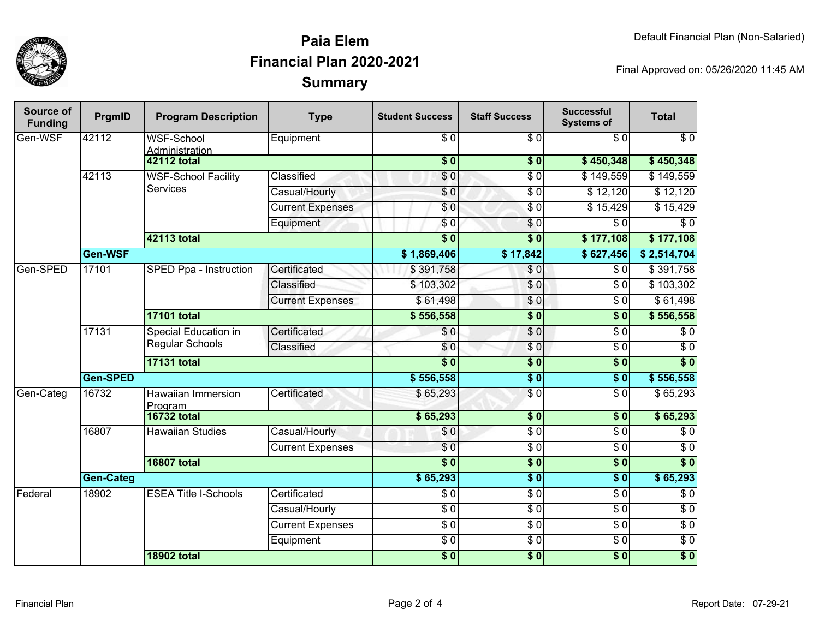

## **SummaryPaia ElemFinancial Plan 2020-2021**

Final Approved on: 05/26/2020 11:45 AM

| Source of<br><b>Funding</b> | PrgmID           | <b>Program Description</b>                     | <b>Type</b>             | <b>Student Success</b> | <b>Staff Success</b> | <b>Successful</b><br><b>Systems of</b> | <b>Total</b>     |     |
|-----------------------------|------------------|------------------------------------------------|-------------------------|------------------------|----------------------|----------------------------------------|------------------|-----|
| Gen-WSF                     | 42112            | <b>WSF-School</b><br>Administration            | Equipment               | $\overline{\$0}$       | $\sqrt{6}$           | $\overline{\$0}$                       | $\overline{\$0}$ |     |
|                             |                  | 42112 total                                    |                         | $\overline{\$0}$       | $\overline{\$0}$     | \$450,348                              | \$450,348        |     |
|                             | 42113            | <b>WSF-School Facility</b><br><b>Services</b>  | Classified              | \$0                    | $\overline{\$0}$     | \$149,559                              | \$149,559        |     |
|                             |                  |                                                | Casual/Hourly           | \$0                    | $\overline{\$0}$     | \$12,120                               | \$12,120         |     |
|                             |                  |                                                | <b>Current Expenses</b> | \$0                    | $\overline{\$0}$     | \$15,429                               | \$15,429         |     |
|                             |                  |                                                | Equipment               | \$0                    | $\overline{\$0}$     | $\overline{\$0}$                       | $\overline{\$0}$ |     |
|                             |                  | 42113 total                                    |                         | s <sub>0</sub>         | $\overline{\$0}$     | \$177,108                              | \$177,108        |     |
|                             | Gen-WSF          |                                                |                         | \$1,869,406            | \$17,842             | \$627,456                              | \$2,514,704      |     |
| Gen-SPED                    | 17101            | SPED Ppa - Instruction                         | Certificated            | \$391,758              | \$0                  | \$0                                    | \$391,758        |     |
|                             |                  |                                                | Classified              | \$103,302              | \$0                  | \$0                                    | \$103,302        |     |
|                             |                  |                                                | <b>Current Expenses</b> | \$61,498               | \$0                  | $\overline{\$0}$                       | \$61,498         |     |
|                             |                  | <b>17101 total</b>                             |                         | \$556,558              | $\overline{\$0}$     | $\overline{\textbf{S}^0}$              | \$556,558        |     |
|                             | 17131            | Special Education in<br><b>Regular Schools</b> | Certificated            | \$0                    | $\overline{\$0}$     | $\overline{\$0}$                       | $\overline{\$0}$ |     |
|                             |                  |                                                | Classified              | \$0                    | $\sqrt{0}$           | $\overline{\$0}$                       | $\overline{\$0}$ |     |
|                             |                  | <b>17131 total</b>                             |                         | $\overline{\bullet}$ 0 | $\overline{\$0}$     | $\overline{\$0}$                       | $\overline{\$0}$ |     |
|                             | Gen-SPED         |                                                |                         | \$556,558              | $\overline{\$0}$     | $\overline{\$0}$                       | \$556,558        |     |
| Gen-Categ                   | 16732            | <b>Hawaiian Immersion</b><br>Program           | Certificated            | \$65,293               | $\overline{\$0}$     | $\overline{\$0}$                       | \$65,293         |     |
|                             |                  | <b>16732 total</b>                             |                         | \$65,293               | $\overline{\$0}$     | $\overline{\$0}$                       | \$65,293         |     |
|                             |                  | 16807                                          | Hawaiian Studies        | Casual/Hourly          | \$0                  | $\sqrt{6}$                             | $\sqrt{6}$       | \$0 |
|                             |                  |                                                | <b>Current Expenses</b> | $\overline{\$0}$       | $\sqrt{6}$           | $\sqrt{6}$                             | $\overline{\$0}$ |     |
|                             |                  | <b>16807 total</b>                             |                         | $\overline{\$0}$       | $\sqrt{6}$           | $\sqrt{6}$                             | \$0              |     |
|                             | <b>Gen-Categ</b> |                                                |                         | \$65,293               | $\overline{\$0}$     | $\overline{\$0}$                       | \$65,293         |     |
| Federal                     | 18902            | <b>ESEA Title I-Schools</b>                    | Certificated            | $\sqrt{6}$             | $\sqrt{6}$           | $\overline{\$0}$                       | $\overline{\$0}$ |     |
|                             |                  |                                                | Casual/Hourly           | $\overline{60}$        | $\overline{\$0}$     | $\sqrt{6}$                             | $\overline{30}$  |     |
|                             |                  |                                                | <b>Current Expenses</b> | $\overline{60}$        | $\sqrt{6}$           | $\overline{\$0}$                       | $\sqrt{6}$       |     |
|                             |                  |                                                | Equipment               | $\overline{60}$        | $\sqrt{6}$           | $\sqrt{6}$                             | $\overline{\$0}$ |     |
|                             |                  | 18902 total                                    |                         | \$0                    | \$0                  | \$0                                    | \$0              |     |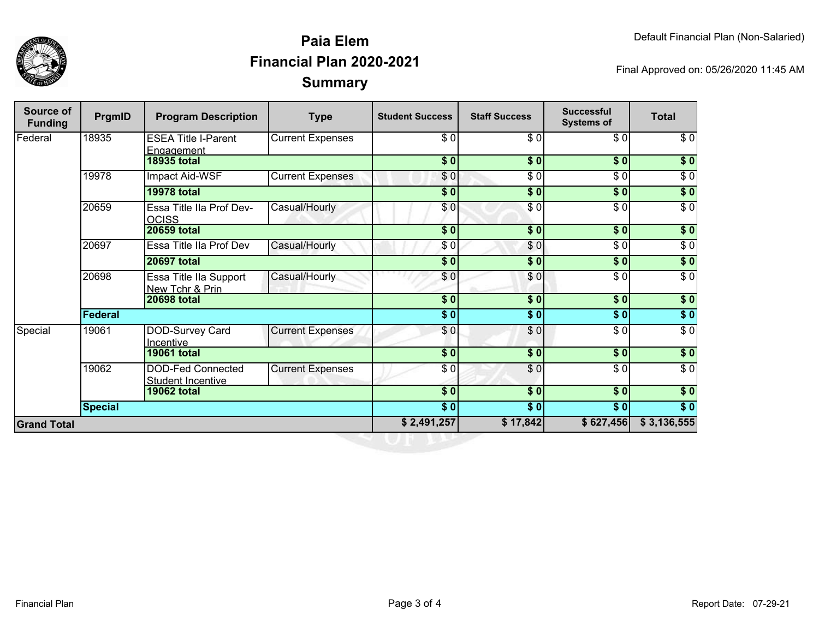

## **SummaryPaia ElemFinancial Plan 2020-2021**

Final Approved on: 05/26/2020 11:45 AM

| Source of<br><b>Funding</b> | PrgmID         | <b>Program Description</b>                           | <b>Type</b>             | <b>Student Success</b> | <b>Staff Success</b> | <b>Successful</b><br><b>Systems of</b> | <b>Total</b>     |
|-----------------------------|----------------|------------------------------------------------------|-------------------------|------------------------|----------------------|----------------------------------------|------------------|
| Federal                     | 18935          | <b>ESEA Title I-Parent</b><br>Engagement             | <b>Current Expenses</b> | \$0                    | \$0                  | \$0                                    | \$0              |
|                             |                | <b>18935 total</b>                                   |                         | $\overline{\$0}$       | \$0                  | s <sub>0</sub>                         | \$0              |
|                             | 19978          | Impact Aid-WSF                                       | <b>Current Expenses</b> | \$0                    | \$0                  | $\overline{\$0}$                       | $\overline{\$0}$ |
|                             |                | <b>19978 total</b>                                   |                         | \$0                    | \$0                  | \$0                                    | $\sqrt{6}$       |
|                             | 20659          | Essa Title IIa Prof Dev-<br><b>OCISS</b>             | Casual/Hourly           | \$0                    | \$0                  | \$0                                    | $\overline{\$0}$ |
|                             |                | <b>20659 total</b>                                   |                         | \$0                    | $\frac{1}{2}$        | \$0                                    | \$0              |
|                             | 20697          | Essa Title IIa Prof Dev                              | Casual/Hourly           | \$0                    | $\frac{6}{3}$        | $\sqrt{6}$                             | $\sqrt{6}$       |
|                             |                | <b>20697 total</b>                                   |                         | $\overline{\$0}$       | \$0                  | \$0                                    | \$0              |
|                             | 20698          | Essa Title IIa Support<br>New Tchr & Prin            | Casual/Hourly           | \$0                    | $\frac{6}{3}$        | $\sqrt{6}$                             | $\sqrt{6}$       |
|                             |                | <b>20698 total</b>                                   |                         | \$0                    | $\overline{\$0}$     | $\overline{\$0}$                       | $\overline{\$0}$ |
|                             | Federal        |                                                      |                         | \$0                    | $\overline{\$0}$     | $\overline{\$0}$                       | $\sqrt{6}$       |
| Special                     | 19061          | DOD-Survey Card<br>Incentive                         | <b>Current Expenses</b> | \$0                    | \$0                  | \$0                                    | $\sqrt{6}$       |
|                             |                | <b>19061 total</b>                                   |                         | $\overline{\$0}$       | \$0                  | \$0                                    | \$0              |
|                             | 19062          | <b>DOD-Fed Connected</b><br><b>Student Incentive</b> | <b>Current Expenses</b> | $\overline{\$0}$       | \$0                  | $\overline{\$0}$                       | $\overline{\$0}$ |
|                             |                | <b>19062 total</b>                                   |                         | $\sqrt{6}$             | $\frac{1}{2}$        | \$0                                    | \$0              |
|                             | <b>Special</b> |                                                      |                         | \$0                    | \$0                  | $\sqrt{6}$                             | $\sqrt{6}$       |
| <b>Grand Total</b>          |                |                                                      |                         | \$2,491,257            | \$17,842             | \$627,456                              | \$3,136,555      |